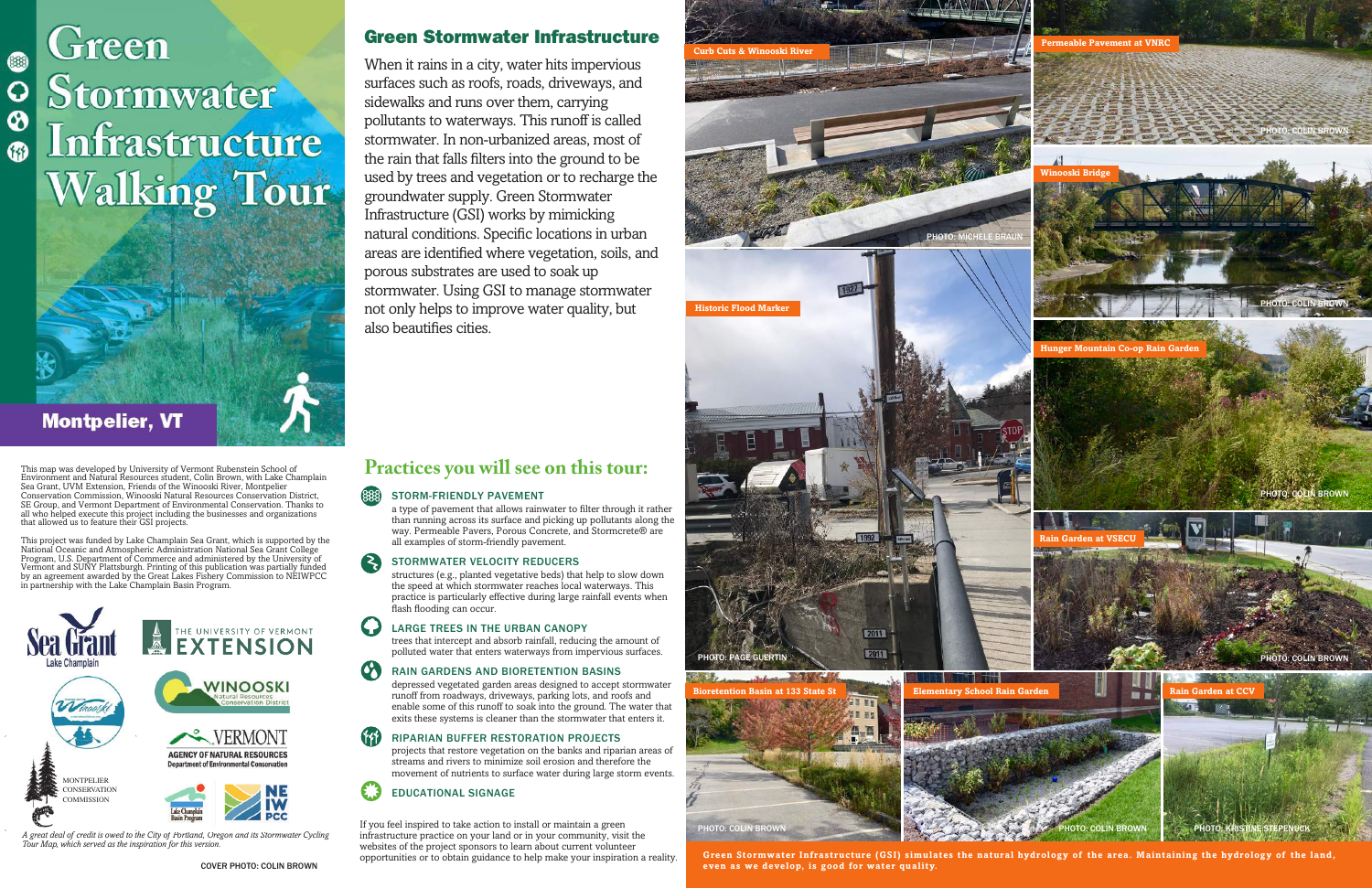**Permeable Pavement at VNRC**

**Hunger Mountain Co-op Rain Garden**



PHOTO: COLIN BROWN PHOTO: KRISTINE STEPENUCK











PHOTO: COLIN BROWN

PHOTO: COLIN BROWN

PHOTO: COLIN BROWN

# Stormwater Infrastructure **Walking Tour**



 $\mathbf Q$ 

 $\pmb{\circ}$ 

**G)** 

**Infrastructure** 

Walking Tourism

#### 888) STORM-FRIENDLY PAVEMENT

When it rains in a city, water hits impervious surfaces such as roofs, roads, driveways, and sidewalks and runs over them, carrying pollutants to waterways. This runoff is called stormwater. In non-urbanized areas, most of the rain that falls filters into the ground to be used by trees and vegetation or to recharge the groundwater supply. Green Stormwater Infrastructure (GSI) works by mimicking natural conditions. Specific locations in urban areas are identified where vegetation, soils, and porous substrates are used to soak up stormwater. Using GSI to manage stormwater not only helps to improve water quality, but also beautifies cities.

*A great deal of credit is owed to the City of Portland, Oregon and its Stormwater Cycling Tour Map, which served as the inspiration for this version.*

## **Practices you will see on this tour:**

a type of pavement that allows rainwater to filter through it rather than running across its surface and picking up pollutants along the way. Permeable Pavers, Porous Concrete, and Stormcrete® are all examples of storm-friendly pavement.

## STORMWATER VELOCITY REDUCERS

structures (e.g., planted vegetative beds) that help to slow down the speed at which stormwater reaches local waterways. This practice is particularly effective during large rainfall events when flash flooding can occur.

## LARGE TREES IN THE URBAN CANOPY

trees that intercept and absorb rainfall, reducing the amount of polluted water that enters waterways from impervious surfaces.

## RAIN GARDENS AND BIORETENTION BASINS

depressed vegetated garden areas designed to accept stormwater runoff from roadways, driveways, parking lots, and roofs and enable some of this runoff to soak into the ground. The water that exits these systems is cleaner than the stormwater that enters it.

## RIPARIAN BUFFER RESTORATION PROJECTS

projects that restore vegetation on the banks and riparian areas of streams and rivers to minimize soil erosion and therefore the movement of nutrients to surface water during large storm events.

## EDUCATIONAL SIGNAGE

This map was developed by University of Vermont Rubenstein School of Environment and Natural Resources student, Colin Brown, with Lake Champlain Sea Grant, UVM Extension, Friends of the Winooski River, Montpelier Conservation Commission, Winooski Natural Resources Conservation District, SE Group, and Vermont Department of Environmental Conservation. Thanks to all who helped execute this project including the businesses and organizations that allowed us to feature their GSI projects.

**Stormwater Control** 

This project was funded by Lake Champlain Sea Grant, which is supported by the National Oceanic and Atmospheric Administration National Sea Grant College Program, U.S. Department of Commerce and administered by the University of Vermont and SUNY Plattsburgh. Printing of this publication was partially funded by an agreement awarded by the Great Lakes Fishery Commission to NEIWPCC in partnership with the Lake Champlain Basin Program.

> If you feel inspired to take action to install or maintain a green infrastructure practice on your land or in your community, visit the websites of the project sponsors to learn about current volunteer opportunities or to obtain guidance to help make your inspiration a reality.



**Green Stormwater Infrastructure (GSI) simulates the natural hydrology of the area. Maintaining the hydrology of the land, even as we develop, is good for water quality.**